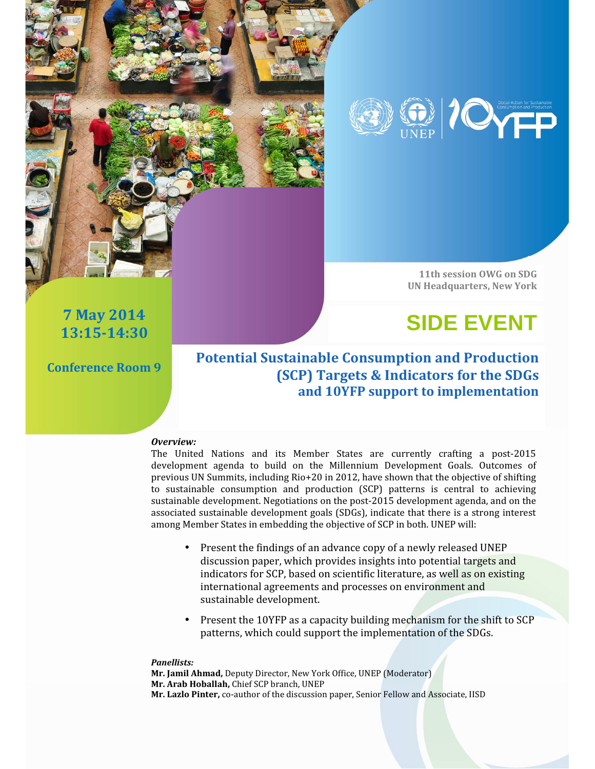

11th session OWG on SDG UN Headquarters, New York

## **SIDE EVENT** 7 May 2014

Conference Room 9

13:15-14:30

### Potential Sustainable Consumption and Production (SCP) Targets & Indicators for the SDGs and 10YFP support to implementation

#### Overview:

The United Nations and its Member States are currently crafting a post-2015 development agenda to build on the Millennium Development Goals. Outcomes of previous UN Summits, including Rio+20 in 2012, have shown that the objective of shifting to sustainable consumption and production (SCP) patterns is central to achieving sustainable development. Negotiations on the post-2015 development agenda, and on the associated sustainable development goals (SDGs), indicate that there is a strong interest among Member States in embedding the objective of SCP in both. UNEP will:

- Present the findings of an advance copy of a newly released UNEP discussion paper, which provides insights into potential targets and indicators for SCP, based on scientific literature, as well as on existing international agreements and processes on environment and sustainable development.
- Present the 10YFP as a capacity building mechanism for the shift to SCP patterns, which could support the implementation of the SDGs.

#### Panellists:

Mr. Jamil Ahmad, Deputy Director, New York Office, UNEP (Moderator) Mr. Arab Hoballah, Chief SCP branch, UNEP Mr. Lazlo Pinter, co-author of the discussion paper, Senior Fellow and Associate, IISD